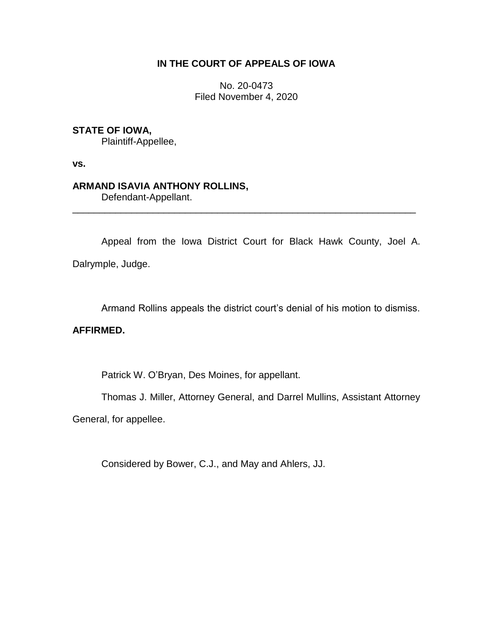# **IN THE COURT OF APPEALS OF IOWA**

No. 20-0473 Filed November 4, 2020

## **STATE OF IOWA,**

Plaintiff-Appellee,

**vs.**

## **ARMAND ISAVIA ANTHONY ROLLINS,**

Defendant-Appellant.

Appeal from the Iowa District Court for Black Hawk County, Joel A. Dalrymple, Judge.

\_\_\_\_\_\_\_\_\_\_\_\_\_\_\_\_\_\_\_\_\_\_\_\_\_\_\_\_\_\_\_\_\_\_\_\_\_\_\_\_\_\_\_\_\_\_\_\_\_\_\_\_\_\_\_\_\_\_\_\_\_\_\_\_

Armand Rollins appeals the district court's denial of his motion to dismiss.

## **AFFIRMED.**

Patrick W. O'Bryan, Des Moines, for appellant.

Thomas J. Miller, Attorney General, and Darrel Mullins, Assistant Attorney

General, for appellee.

Considered by Bower, C.J., and May and Ahlers, JJ.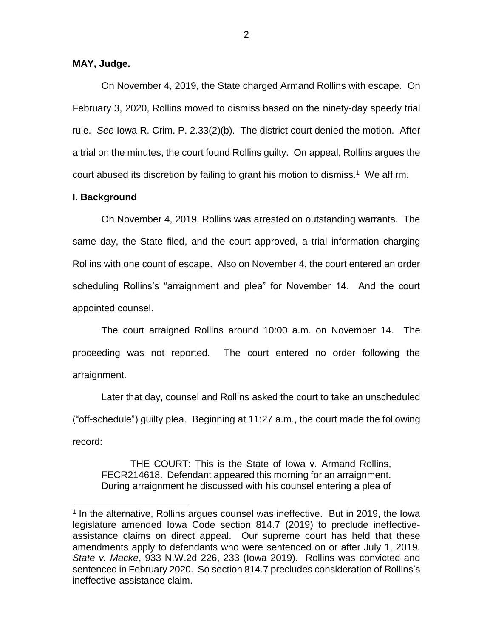## **MAY, Judge.**

On November 4, 2019, the State charged Armand Rollins with escape. On February 3, 2020, Rollins moved to dismiss based on the ninety-day speedy trial rule. *See* Iowa R. Crim. P. 2.33(2)(b). The district court denied the motion. After a trial on the minutes, the court found Rollins guilty. On appeal, Rollins argues the court abused its discretion by failing to grant his motion to dismiss. 1 We affirm.

#### **I. Background**

 $\overline{a}$ 

On November 4, 2019, Rollins was arrested on outstanding warrants. The same day, the State filed, and the court approved, a trial information charging Rollins with one count of escape. Also on November 4, the court entered an order scheduling Rollins's "arraignment and plea" for November 14. And the court appointed counsel.

The court arraigned Rollins around 10:00 a.m. on November 14. The proceeding was not reported. The court entered no order following the arraignment.

Later that day, counsel and Rollins asked the court to take an unscheduled ("off-schedule") guilty plea. Beginning at 11:27 a.m., the court made the following record:

THE COURT: This is the State of Iowa v. Armand Rollins, FECR214618. Defendant appeared this morning for an arraignment. During arraignment he discussed with his counsel entering a plea of

<sup>&</sup>lt;sup>1</sup> In the alternative, Rollins argues counsel was ineffective. But in 2019, the lowa legislature amended Iowa Code section 814.7 (2019) to preclude ineffectiveassistance claims on direct appeal. Our supreme court has held that these amendments apply to defendants who were sentenced on or after July 1, 2019. *State v. Macke*, 933 N.W.2d 226, 233 (Iowa 2019). Rollins was convicted and sentenced in February 2020. So section 814.7 precludes consideration of Rollins's ineffective-assistance claim.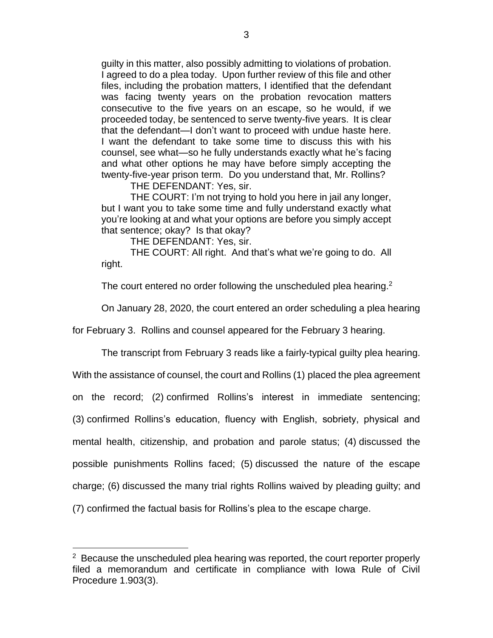guilty in this matter, also possibly admitting to violations of probation. I agreed to do a plea today. Upon further review of this file and other files, including the probation matters, I identified that the defendant was facing twenty years on the probation revocation matters consecutive to the five years on an escape, so he would, if we proceeded today, be sentenced to serve twenty-five years. It is clear that the defendant—I don't want to proceed with undue haste here. I want the defendant to take some time to discuss this with his counsel, see what—so he fully understands exactly what he's facing and what other options he may have before simply accepting the twenty-five-year prison term. Do you understand that, Mr. Rollins?

THE DEFENDANT: Yes, sir.

THE COURT: I'm not trying to hold you here in jail any longer, but I want you to take some time and fully understand exactly what you're looking at and what your options are before you simply accept that sentence; okay? Is that okay?

THE DEFENDANT: Yes, sir.

THE COURT: All right. And that's what we're going to do. All right.

The court entered no order following the unscheduled plea hearing.<sup>2</sup>

On January 28, 2020, the court entered an order scheduling a plea hearing

for February 3. Rollins and counsel appeared for the February 3 hearing.

The transcript from February 3 reads like a fairly-typical guilty plea hearing.

With the assistance of counsel, the court and Rollins (1) placed the plea agreement

on the record; (2) confirmed Rollins's interest in immediate sentencing;

(3) confirmed Rollins's education, fluency with English, sobriety, physical and

mental health, citizenship, and probation and parole status; (4) discussed the

possible punishments Rollins faced; (5) discussed the nature of the escape

charge; (6) discussed the many trial rights Rollins waived by pleading guilty; and

(7) confirmed the factual basis for Rollins's plea to the escape charge.

 $\overline{a}$ 

 $2$  Because the unscheduled plea hearing was reported, the court reporter properly filed a memorandum and certificate in compliance with Iowa Rule of Civil Procedure 1.903(3).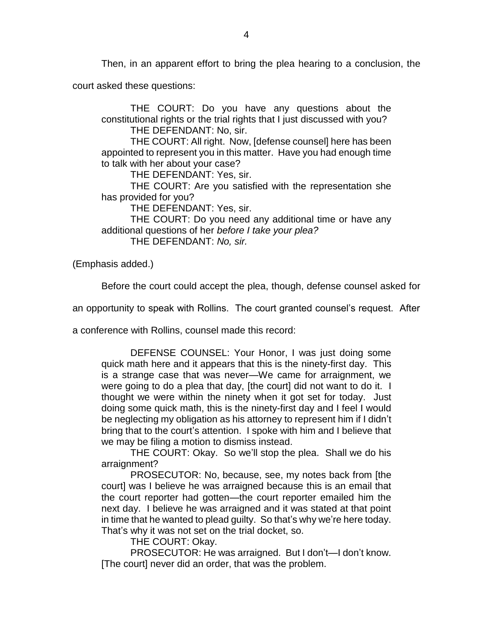Then, in an apparent effort to bring the plea hearing to a conclusion, the

court asked these questions:

THE COURT: Do you have any questions about the constitutional rights or the trial rights that I just discussed with you? THE DEFENDANT: No, sir.

THE COURT: All right. Now, [defense counsel] here has been appointed to represent you in this matter. Have you had enough time to talk with her about your case?

THE DEFENDANT: Yes, sir.

THE COURT: Are you satisfied with the representation she has provided for you?

THE DEFENDANT: Yes, sir.

THE COURT: Do you need any additional time or have any additional questions of her *before I take your plea?* THE DEFENDANT: *No, sir.*

(Emphasis added.)

Before the court could accept the plea, though, defense counsel asked for

an opportunity to speak with Rollins. The court granted counsel's request. After

a conference with Rollins, counsel made this record:

DEFENSE COUNSEL: Your Honor, I was just doing some quick math here and it appears that this is the ninety-first day. This is a strange case that was never—We came for arraignment, we were going to do a plea that day, [the court] did not want to do it. I thought we were within the ninety when it got set for today. Just doing some quick math, this is the ninety-first day and I feel I would be neglecting my obligation as his attorney to represent him if I didn't bring that to the court's attention. I spoke with him and I believe that we may be filing a motion to dismiss instead.

THE COURT: Okay. So we'll stop the plea. Shall we do his arraignment?

PROSECUTOR: No, because, see, my notes back from [the court] was I believe he was arraigned because this is an email that the court reporter had gotten—the court reporter emailed him the next day. I believe he was arraigned and it was stated at that point in time that he wanted to plead guilty. So that's why we're here today. That's why it was not set on the trial docket, so.

THE COURT: Okay.

PROSECUTOR: He was arraigned. But I don't—I don't know. [The court] never did an order, that was the problem.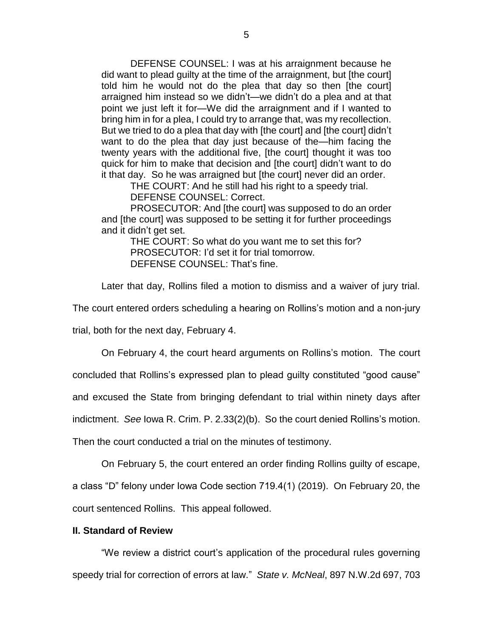DEFENSE COUNSEL: I was at his arraignment because he did want to plead guilty at the time of the arraignment, but [the court] told him he would not do the plea that day so then [the court] arraigned him instead so we didn't—we didn't do a plea and at that point we just left it for—We did the arraignment and if I wanted to bring him in for a plea, I could try to arrange that, was my recollection. But we tried to do a plea that day with [the court] and [the court] didn't want to do the plea that day just because of the—him facing the twenty years with the additional five, [the court] thought it was too quick for him to make that decision and [the court] didn't want to do it that day. So he was arraigned but [the court] never did an order.

THE COURT: And he still had his right to a speedy trial.

DEFENSE COUNSEL: Correct.

PROSECUTOR: And [the court] was supposed to do an order and [the court] was supposed to be setting it for further proceedings and it didn't get set.

THE COURT: So what do you want me to set this for? PROSECUTOR: I'd set it for trial tomorrow. DEFENSE COUNSEL: That's fine.

Later that day, Rollins filed a motion to dismiss and a waiver of jury trial.

The court entered orders scheduling a hearing on Rollins's motion and a non-jury

trial, both for the next day, February 4.

On February 4, the court heard arguments on Rollins's motion. The court

concluded that Rollins's expressed plan to plead guilty constituted "good cause"

and excused the State from bringing defendant to trial within ninety days after

indictment. *See* Iowa R. Crim. P. 2.33(2)(b). So the court denied Rollins's motion.

Then the court conducted a trial on the minutes of testimony.

On February 5, the court entered an order finding Rollins guilty of escape,

a class "D" felony under Iowa Code section 719.4(1) (2019). On February 20, the court sentenced Rollins. This appeal followed.

#### **II. Standard of Review**

"We review a district court's application of the procedural rules governing speedy trial for correction of errors at law." *State v. McNeal*, 897 N.W.2d 697, 703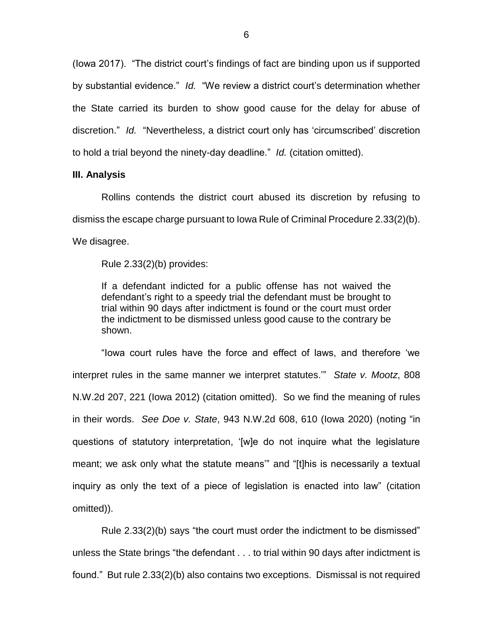(Iowa 2017). "The district court's findings of fact are binding upon us if supported by substantial evidence." *Id.* "We review a district court's determination whether the State carried its burden to show good cause for the delay for abuse of discretion." *Id.* "Nevertheless, a district court only has 'circumscribed' discretion to hold a trial beyond the ninety-day deadline." *Id.* (citation omitted).

#### **III. Analysis**

Rollins contends the district court abused its discretion by refusing to dismiss the escape charge pursuant to Iowa Rule of Criminal Procedure 2.33(2)(b). We disagree.

Rule 2.33(2)(b) provides:

If a defendant indicted for a public offense has not waived the defendant's right to a speedy trial the defendant must be brought to trial within 90 days after indictment is found or the court must order the indictment to be dismissed unless good cause to the contrary be shown.

"Iowa court rules have the force and effect of laws, and therefore 'we interpret rules in the same manner we interpret statutes.'" *State v. Mootz*, 808 N.W.2d 207, 221 (Iowa 2012) (citation omitted). So we find the meaning of rules in their words. *See Doe v. State*, 943 N.W.2d 608, 610 (Iowa 2020) (noting "in questions of statutory interpretation, '[w]e do not inquire what the legislature meant; we ask only what the statute means'" and "[t]his is necessarily a textual inquiry as only the text of a piece of legislation is enacted into law" (citation omitted)).

Rule 2.33(2)(b) says "the court must order the indictment to be dismissed" unless the State brings "the defendant . . . to trial within 90 days after indictment is found." But rule 2.33(2)(b) also contains two exceptions. Dismissal is not required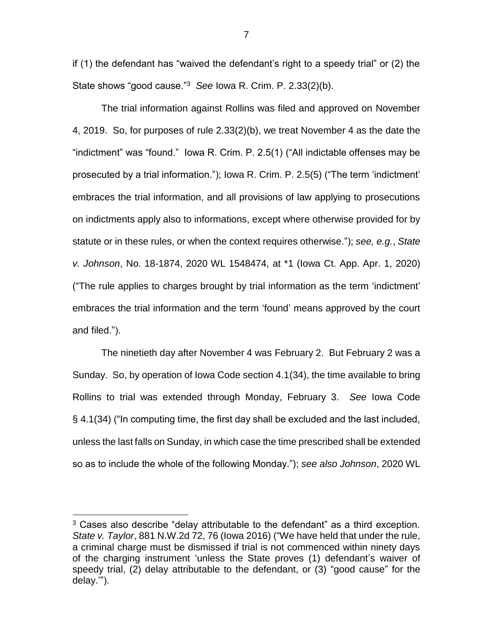if (1) the defendant has "waived the defendant's right to a speedy trial" or (2) the State shows "good cause."<sup>3</sup> *See* Iowa R. Crim. P. 2.33(2)(b).

The trial information against Rollins was filed and approved on November 4, 2019. So, for purposes of rule 2.33(2)(b), we treat November 4 as the date the "indictment" was "found." Iowa R. Crim. P. 2.5(1) ("All indictable offenses may be prosecuted by a trial information."); Iowa R. Crim. P. 2.5(5) ("The term 'indictment' embraces the trial information, and all provisions of law applying to prosecutions on indictments apply also to informations, except where otherwise provided for by statute or in these rules, or when the context requires otherwise."); *see, e.g.*, *State v. Johnson*, No. 18-1874, 2020 WL 1548474, at \*1 (Iowa Ct. App. Apr. 1, 2020) ("The rule applies to charges brought by trial information as the term 'indictment' embraces the trial information and the term 'found' means approved by the court and filed.").

The ninetieth day after November 4 was February 2. But February 2 was a Sunday. So, by operation of Iowa Code section 4.1(34), the time available to bring Rollins to trial was extended through Monday, February 3. *See* Iowa Code § 4.1(34) ("In computing time, the first day shall be excluded and the last included, unless the last falls on Sunday, in which case the time prescribed shall be extended so as to include the whole of the following Monday."); *see also Johnson*, 2020 WL

 $\overline{a}$ 

<sup>3</sup> Cases also describe "delay attributable to the defendant" as a third exception. *State v. Taylor*, 881 N.W.2d 72, 76 (Iowa 2016) ("We have held that under the rule, a criminal charge must be dismissed if trial is not commenced within ninety days of the charging instrument 'unless the State proves (1) defendant's waiver of speedy trial, (2) delay attributable to the defendant, or (3) "good cause" for the delay.'").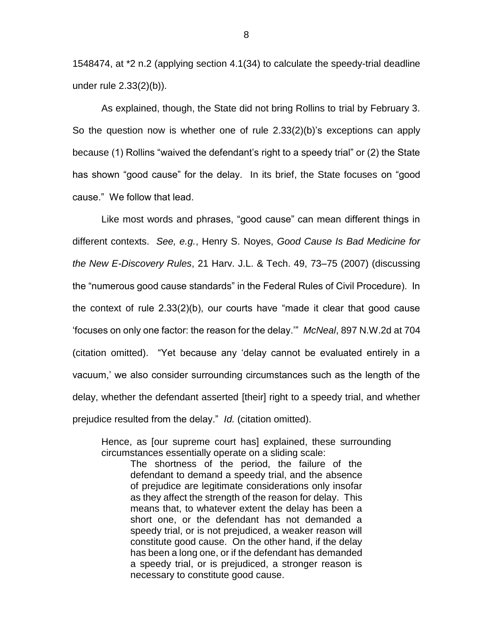1548474, at \*2 n.2 (applying section 4.1(34) to calculate the speedy-trial deadline under rule 2.33(2)(b)).

As explained, though, the State did not bring Rollins to trial by February 3. So the question now is whether one of rule 2.33(2)(b)'s exceptions can apply because (1) Rollins "waived the defendant's right to a speedy trial" or (2) the State has shown "good cause" for the delay. In its brief, the State focuses on "good cause." We follow that lead.

Like most words and phrases, "good cause" can mean different things in different contexts. *See, e.g.*, Henry S. Noyes, *Good Cause Is Bad Medicine for the New E-Discovery Rules*, 21 Harv. J.L. & Tech. 49, 73–75 (2007) (discussing the "numerous good cause standards" in the Federal Rules of Civil Procedure). In the context of rule 2.33(2)(b), our courts have "made it clear that good cause 'focuses on only one factor: the reason for the delay.'" *McNeal*, 897 N.W.2d at 704 (citation omitted). "Yet because any 'delay cannot be evaluated entirely in a vacuum,' we also consider surrounding circumstances such as the length of the delay, whether the defendant asserted [their] right to a speedy trial, and whether prejudice resulted from the delay." *Id.* (citation omitted).

Hence, as [our supreme court has] explained, these surrounding circumstances essentially operate on a sliding scale:

The shortness of the period, the failure of the defendant to demand a speedy trial, and the absence of prejudice are legitimate considerations only insofar as they affect the strength of the reason for delay. This means that, to whatever extent the delay has been a short one, or the defendant has not demanded a speedy trial, or is not prejudiced, a weaker reason will constitute good cause. On the other hand, if the delay has been a long one, or if the defendant has demanded a speedy trial, or is prejudiced, a stronger reason is necessary to constitute good cause.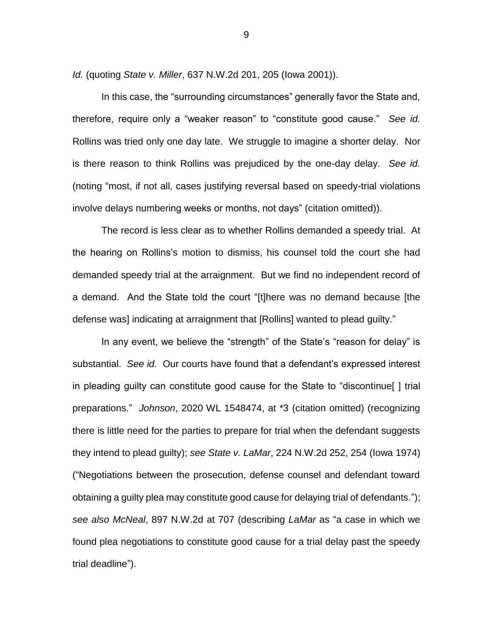*Id.* (quoting *State v. Miller*, 637 N.W.2d 201, 205 (Iowa 2001)).

In this case, the "surrounding circumstances" generally favor the State and, therefore, require only a "weaker reason" to "constitute good cause." *See id.* Rollins was tried only one day late. We struggle to imagine a shorter delay. Nor is there reason to think Rollins was prejudiced by the one-day delay. *See id.* (noting "most, if not all, cases justifying reversal based on speedy-trial violations involve delays numbering weeks or months, not days" (citation omitted)).

The record is less clear as to whether Rollins demanded a speedy trial. At the hearing on Rollins's motion to dismiss, his counsel told the court she had demanded speedy trial at the arraignment. But we find no independent record of a demand. And the State told the court "[t]here was no demand because [the defense was] indicating at arraignment that [Rollins] wanted to plead guilty."

In any event, we believe the "strength" of the State's "reason for delay" is substantial. *See id.* Our courts have found that a defendant's expressed interest in pleading guilty can constitute good cause for the State to "discontinue[ ] trial preparations." *Johnson*, 2020 WL 1548474, at \*3 (citation omitted) (recognizing there is little need for the parties to prepare for trial when the defendant suggests they intend to plead guilty); *see State v. LaMar*, 224 N.W.2d 252, 254 (Iowa 1974) ("Negotiations between the prosecution, defense counsel and defendant toward obtaining a guilty plea may constitute good cause for delaying trial of defendants."); *see also McNeal*, 897 N.W.2d at 707 (describing *LaMar* as "a case in which we found plea negotiations to constitute good cause for a trial delay past the speedy trial deadline").

9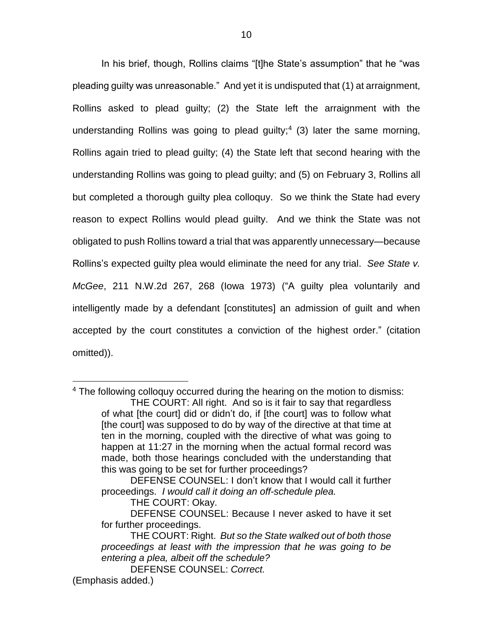In his brief, though, Rollins claims "[t]he State's assumption" that he "was pleading guilty was unreasonable." And yet it is undisputed that (1) at arraignment, Rollins asked to plead guilty; (2) the State left the arraignment with the understanding Rollins was going to plead guilty;<sup>4</sup> (3) later the same morning, Rollins again tried to plead guilty; (4) the State left that second hearing with the understanding Rollins was going to plead guilty; and (5) on February 3, Rollins all but completed a thorough guilty plea colloquy. So we think the State had every reason to expect Rollins would plead guilty. And we think the State was not obligated to push Rollins toward a trial that was apparently unnecessary—because Rollins's expected guilty plea would eliminate the need for any trial. *See State v. McGee*, 211 N.W.2d 267, 268 (Iowa 1973) ("A guilty plea voluntarily and intelligently made by a defendant [constitutes] an admission of guilt and when accepted by the court constitutes a conviction of the highest order." (citation omitted)).

 $\overline{a}$ 

<sup>&</sup>lt;sup>4</sup> The following colloquy occurred during the hearing on the motion to dismiss: THE COURT: All right. And so is it fair to say that regardless of what [the court] did or didn't do, if [the court] was to follow what [the court] was supposed to do by way of the directive at that time at ten in the morning, coupled with the directive of what was going to happen at 11:27 in the morning when the actual formal record was made, both those hearings concluded with the understanding that this was going to be set for further proceedings?

DEFENSE COUNSEL: I don't know that I would call it further proceedings. *I would call it doing an off-schedule plea.*

THE COURT: Okay.

DEFENSE COUNSEL: Because I never asked to have it set for further proceedings.

THE COURT: Right. *But so the State walked out of both those proceedings at least with the impression that he was going to be entering a plea, albeit off the schedule?*

DEFENSE COUNSEL: *Correct.* (Emphasis added.)